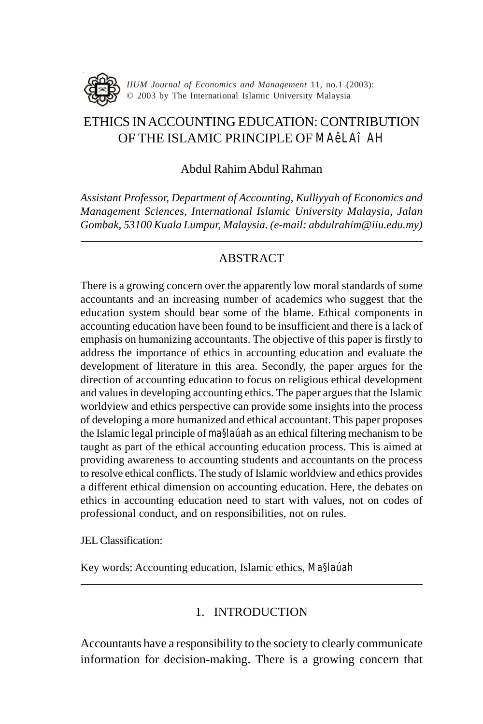

# ETHICS IN ACCOUNTING EDUCATION: CONTRIBUTION OF THE ISLAMIC PRINCIPLE OF *MA<sub>ê</sub>l Aî AH*

#### Abdul Rahim Abdul Rahman

*Assistant Professor, Department of Accounting, Kulliyyah of Economics and Management Sciences, International Islamic University Malaysia, Jalan Gombak, 53100 Kuala Lumpur, Malaysia. (e-mail: abdulrahim@iiu.edu.my)*

### ABSTRACT

There is a growing concern over the apparently low moral standards of some accountants and an increasing number of academics who suggest that the education system should bear some of the blame. Ethical components in accounting education have been found to be insufficient and there is a lack of emphasis on humanizing accountants. The objective of this paper is firstly to address the importance of ethics in accounting education and evaluate the development of literature in this area. Secondly, the paper argues for the direction of accounting education to focus on religious ethical development and values in developing accounting ethics. The paper argues that the Islamic worldview and ethics perspective can provide some insights into the process of developing a more humanized and ethical accountant. This paper proposes the Islamic legal principle of *ma§laúah* as an ethical filtering mechanism to be taught as part of the ethical accounting education process. This is aimed at providing awareness to accounting students and accountants on the process to resolve ethical conflicts. The study of Islamic worldview and ethics provides a different ethical dimension on accounting education. Here, the debates on ethics in accounting education need to start with values, not on codes of professional conduct, and on responsibilities, not on rules.

JEL Classification:

Key words: Accounting education, Islamic ethics, *Ma§laúah*

### 1. INTRODUCTION

Accountants have a responsibility to the society to clearly communicate information for decision-making. There is a growing concern that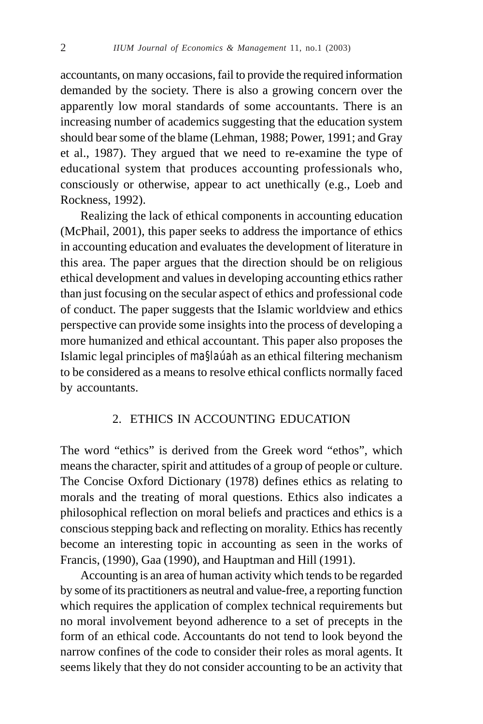accountants, on many occasions, fail to provide the required information demanded by the society. There is also a growing concern over the apparently low moral standards of some accountants. There is an increasing number of academics suggesting that the education system should bear some of the blame (Lehman, 1988; Power, 1991; and Gray et al., 1987). They argued that we need to re-examine the type of educational system that produces accounting professionals who, consciously or otherwise, appear to act unethically (e.g., Loeb and Rockness, 1992).

Realizing the lack of ethical components in accounting education (McPhail, 2001), this paper seeks to address the importance of ethics in accounting education and evaluates the development of literature in this area. The paper argues that the direction should be on religious ethical development and values in developing accounting ethics rather than just focusing on the secular aspect of ethics and professional code of conduct. The paper suggests that the Islamic worldview and ethics perspective can provide some insights into the process of developing a more humanized and ethical accountant. This paper also proposes the Islamic legal principles of *ma§laúah* as an ethical filtering mechanism to be considered as a means to resolve ethical conflicts normally faced by accountants.

#### 2. ETHICS IN ACCOUNTING EDUCATION

The word "ethics" is derived from the Greek word "ethos", which means the character, spirit and attitudes of a group of people or culture. The Concise Oxford Dictionary (1978) defines ethics as relating to morals and the treating of moral questions. Ethics also indicates a philosophical reflection on moral beliefs and practices and ethics is a conscious stepping back and reflecting on morality. Ethics has recently become an interesting topic in accounting as seen in the works of Francis, (1990), Gaa (1990), and Hauptman and Hill (1991).

Accounting is an area of human activity which tends to be regarded by some of its practitioners as neutral and value-free, a reporting function which requires the application of complex technical requirements but no moral involvement beyond adherence to a set of precepts in the form of an ethical code. Accountants do not tend to look beyond the narrow confines of the code to consider their roles as moral agents. It seems likely that they do not consider accounting to be an activity that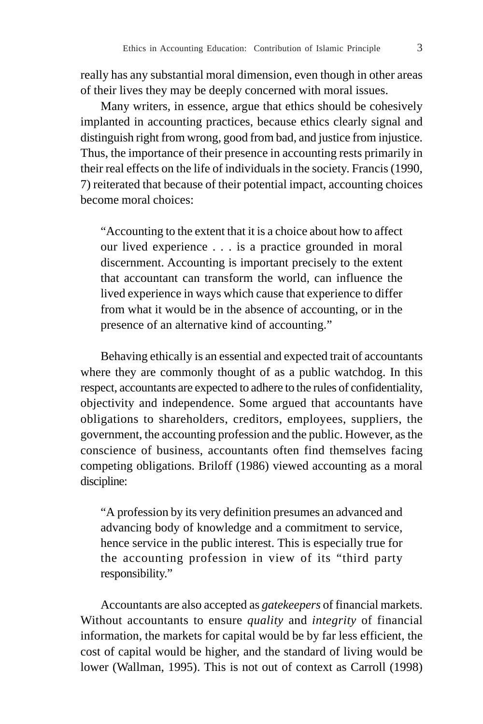really has any substantial moral dimension, even though in other areas of their lives they may be deeply concerned with moral issues.

Many writers, in essence, argue that ethics should be cohesively implanted in accounting practices, because ethics clearly signal and distinguish right from wrong, good from bad, and justice from injustice. Thus, the importance of their presence in accounting rests primarily in their real effects on the life of individuals in the society. Francis (1990, 7) reiterated that because of their potential impact, accounting choices become moral choices:

"Accounting to the extent that it is a choice about how to affect our lived experience . . . is a practice grounded in moral discernment. Accounting is important precisely to the extent that accountant can transform the world, can influence the lived experience in ways which cause that experience to differ from what it would be in the absence of accounting, or in the presence of an alternative kind of accounting."

Behaving ethically is an essential and expected trait of accountants where they are commonly thought of as a public watchdog. In this respect, accountants are expected to adhere to the rules of confidentiality, objectivity and independence. Some argued that accountants have obligations to shareholders, creditors, employees, suppliers, the government, the accounting profession and the public. However, as the conscience of business, accountants often find themselves facing competing obligations. Briloff (1986) viewed accounting as a moral discipline:

"A profession by its very definition presumes an advanced and advancing body of knowledge and a commitment to service, hence service in the public interest. This is especially true for the accounting profession in view of its "third party responsibility."

Accountants are also accepted as *gatekeepers* of financial markets. Without accountants to ensure *quality* and *integrity* of financial information, the markets for capital would be by far less efficient, the cost of capital would be higher, and the standard of living would be lower (Wallman, 1995). This is not out of context as Carroll (1998)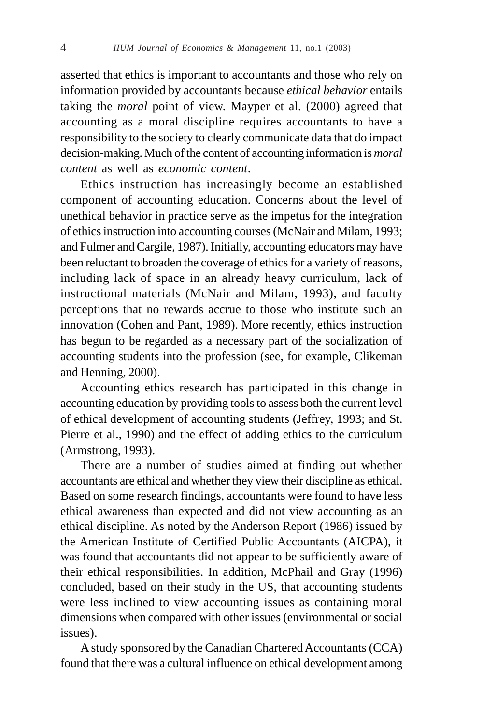asserted that ethics is important to accountants and those who rely on information provided by accountants because *ethical behavior* entails taking the *moral* point of view. Mayper et al. (2000) agreed that accounting as a moral discipline requires accountants to have a responsibility to the society to clearly communicate data that do impact decision-making. Much of the content of accounting information is *moral content* as well as *economic content*.

Ethics instruction has increasingly become an established component of accounting education. Concerns about the level of unethical behavior in practice serve as the impetus for the integration of ethics instruction into accounting courses (McNair and Milam, 1993; and Fulmer and Cargile, 1987). Initially, accounting educators may have been reluctant to broaden the coverage of ethics for a variety of reasons, including lack of space in an already heavy curriculum, lack of instructional materials (McNair and Milam, 1993), and faculty perceptions that no rewards accrue to those who institute such an innovation (Cohen and Pant, 1989). More recently, ethics instruction has begun to be regarded as a necessary part of the socialization of accounting students into the profession (see, for example, Clikeman and Henning, 2000).

Accounting ethics research has participated in this change in accounting education by providing tools to assess both the current level of ethical development of accounting students (Jeffrey, 1993; and St. Pierre et al., 1990) and the effect of adding ethics to the curriculum (Armstrong, 1993).

There are a number of studies aimed at finding out whether accountants are ethical and whether they view their discipline as ethical. Based on some research findings, accountants were found to have less ethical awareness than expected and did not view accounting as an ethical discipline. As noted by the Anderson Report (1986) issued by the American Institute of Certified Public Accountants (AICPA), it was found that accountants did not appear to be sufficiently aware of their ethical responsibilities. In addition, McPhail and Gray (1996) concluded, based on their study in the US, that accounting students were less inclined to view accounting issues as containing moral dimensions when compared with other issues (environmental or social issues).

A study sponsored by the Canadian Chartered Accountants (CCA) found that there was a cultural influence on ethical development among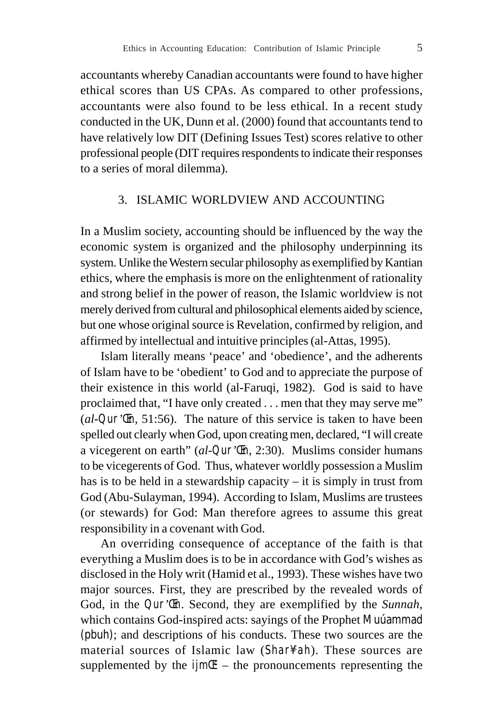accountants whereby Canadian accountants were found to have higher ethical scores than US CPAs. As compared to other professions, accountants were also found to be less ethical. In a recent study conducted in the UK, Dunn et al. (2000) found that accountants tend to have relatively low DIT (Defining Issues Test) scores relative to other professional people (DIT requires respondents to indicate their responses to a series of moral dilemma).

### 3. ISLAMIC WORLDVIEW AND ACCOUNTING

In a Muslim society, accounting should be influenced by the way the economic system is organized and the philosophy underpinning its system. Unlike the Western secular philosophy as exemplified by Kantian ethics, where the emphasis is more on the enlightenment of rationality and strong belief in the power of reason, the Islamic worldview is not merely derived from cultural and philosophical elements aided by science, but one whose original source is Revelation, confirmed by religion, and affirmed by intellectual and intuitive principles (al-Attas, 1995).

Islam literally means 'peace' and 'obedience', and the adherents of Islam have to be 'obedient' to God and to appreciate the purpose of their existence in this world (al-Faruqi, 1982). God is said to have proclaimed that, "I have only created . . . men that they may serve me" (*al-Qur'Œn*, 51:56). The nature of this service is taken to have been spelled out clearly when God, upon creating men, declared, "I will create a vicegerent on earth" (*al-Qur'Œn*, 2:30). Muslims consider humans to be vicegerents of God. Thus, whatever worldly possession a Muslim has is to be held in a stewardship capacity – it is simply in trust from God (Abu-Sulayman, 1994). According to Islam, Muslims are trustees (or stewards) for God: Man therefore agrees to assume this great responsibility in a covenant with God.

An overriding consequence of acceptance of the faith is that everything a Muslim does is to be in accordance with God's wishes as disclosed in the Holy writ (Hamid et al., 1993). These wishes have two major sources. First, they are prescribed by the revealed words of God, in the *Qur'Œn*. Second, they are exemplified by the *Sunnah*, which contains God-inspired acts: sayings of the Prophet Muúammad (pbuh); and descriptions of his conducts. These two sources are the material sources of Islamic law (*Shar¥c ah*). These sources are supplemented by the  $\lim \mathcal{F}$  – the pronouncements representing the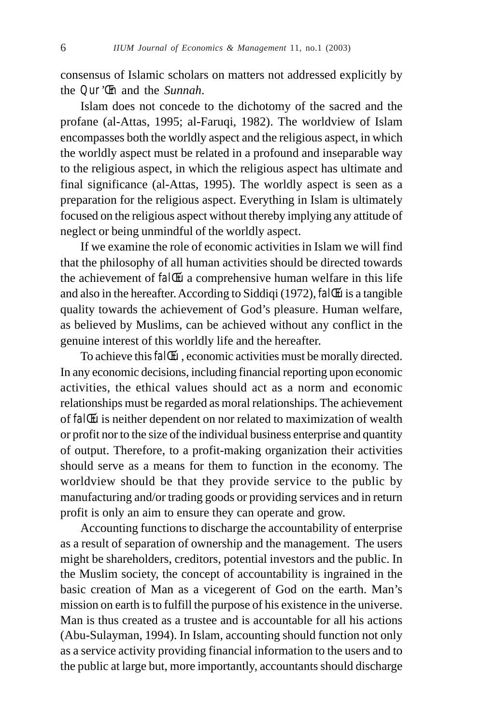consensus of Islamic scholars on matters not addressed explicitly by the *Qur'Œn* and the *Sunnah*.

Islam does not concede to the dichotomy of the sacred and the profane (al-Attas, 1995; al-Faruqi, 1982). The worldview of Islam encompasses both the worldly aspect and the religious aspect, in which the worldly aspect must be related in a profound and inseparable way to the religious aspect, in which the religious aspect has ultimate and final significance (al-Attas, 1995). The worldly aspect is seen as a preparation for the religious aspect. Everything in Islam is ultimately focused on the religious aspect without thereby implying any attitude of neglect or being unmindful of the worldly aspect.

If we examine the role of economic activities in Islam we will find that the philosophy of all human activities should be directed towards the achievement of *fal Eú* a comprehensive human welfare in this life and also in the hereafter. According to Siddiqi (1972), *falΜ* is a tangible quality towards the achievement of God's pleasure. Human welfare, as believed by Muslims, can be achieved without any conflict in the genuine interest of this worldly life and the hereafter.

To achieve this *fal Eu*, economic activities must be morally directed. In any economic decisions, including financial reporting upon economic activities, the ethical values should act as a norm and economic relationships must be regarded as moral relationships. The achievement of *falΜ* is neither dependent on nor related to maximization of wealth or profit nor to the size of the individual business enterprise and quantity of output. Therefore, to a profit-making organization their activities should serve as a means for them to function in the economy. The worldview should be that they provide service to the public by manufacturing and/or trading goods or providing services and in return profit is only an aim to ensure they can operate and grow.

Accounting functions to discharge the accountability of enterprise as a result of separation of ownership and the management. The users might be shareholders, creditors, potential investors and the public. In the Muslim society, the concept of accountability is ingrained in the basic creation of Man as a vicegerent of God on the earth. Man's mission on earth is to fulfill the purpose of his existence in the universe. Man is thus created as a trustee and is accountable for all his actions (Abu-Sulayman, 1994). In Islam, accounting should function not only as a service activity providing financial information to the users and to the public at large but, more importantly, accountants should discharge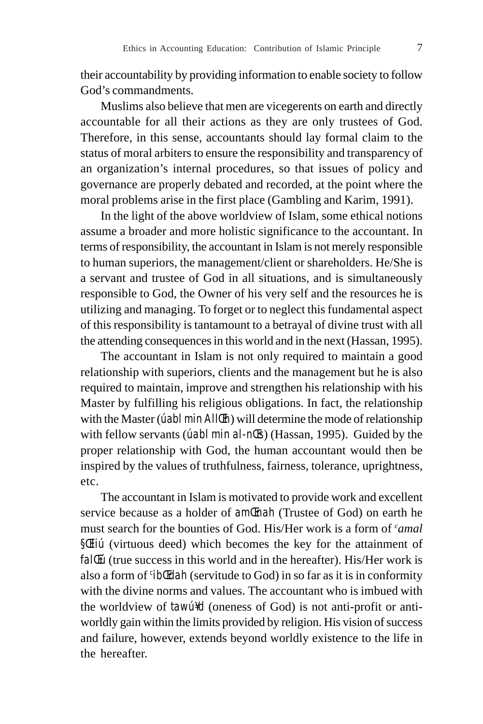their accountability by providing information to enable society to follow God's commandments.

Muslims also believe that men are vicegerents on earth and directly accountable for all their actions as they are only trustees of God. Therefore, in this sense, accountants should lay formal claim to the status of moral arbiters to ensure the responsibility and transparency of an organization's internal procedures, so that issues of policy and governance are properly debated and recorded, at the point where the moral problems arise in the first place (Gambling and Karim, 1991).

In the light of the above worldview of Islam, some ethical notions assume a broader and more holistic significance to the accountant. In terms of responsibility, the accountant in Islam is not merely responsible to human superiors, the management/client or shareholders. He/She is a servant and trustee of God in all situations, and is simultaneously responsible to God, the Owner of his very self and the resources he is utilizing and managing. To forget or to neglect this fundamental aspect of this responsibility is tantamount to a betrayal of divine trust with all the attending consequences in this world and in the next (Hassan, 1995).

The accountant in Islam is not only required to maintain a good relationship with superiors, clients and the management but he is also required to maintain, improve and strengthen his relationship with his Master by fulfilling his religious obligations. In fact, the relationship with the Master (*úabl min AllŒh*) will determine the mode of relationship with fellow servants (*úabl min al-nŒs*) (Hassan, 1995). Guided by the proper relationship with God, the human accountant would then be inspired by the values of truthfulness, fairness, tolerance, uprightness, etc.

The accountant in Islam is motivated to provide work and excellent service because as a holder of *amŒnah* (Trustee of God) on earth he must search for the bounties of God. His/Her work is a form of *camal §Œliú* (virtuous deed) which becomes the key for the attainment of *fallEu* (true success in this world and in the hereafter). His/Her work is also a form of *<sup>c</sup> ibŒdah* (servitude to God) in so far as it is in conformity with the divine norms and values. The accountant who is imbued with the worldview of *tawú¥d* (oneness of God) is not anti-profit or antiworldly gain within the limits provided by religion. His vision of success and failure, however, extends beyond worldly existence to the life in the hereafter.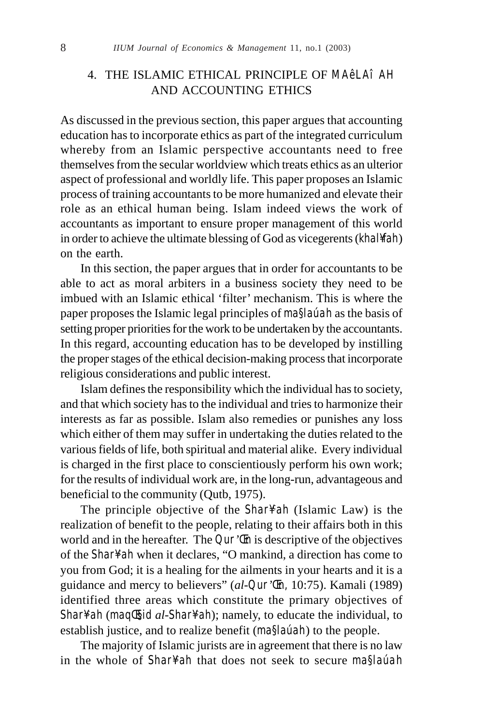## 4. THE ISLAMIC ETHICAL PRINCIPLE OF MA<sub>ê</sub>LAî AH AND ACCOUNTING ETHICS

As discussed in the previous section, this paper argues that accounting education has to incorporate ethics as part of the integrated curriculum whereby from an Islamic perspective accountants need to free themselves from the secular worldview which treats ethics as an ulterior aspect of professional and worldly life. This paper proposes an Islamic process of training accountants to be more humanized and elevate their role as an ethical human being. Islam indeed views the work of accountants as important to ensure proper management of this world in order to achieve the ultimate blessing of God as vicegerents (*khal¥fah*) on the earth.

In this section, the paper argues that in order for accountants to be able to act as moral arbiters in a business society they need to be imbued with an Islamic ethical 'filter' mechanism. This is where the paper proposes the Islamic legal principles of *ma§laúah* as the basis of setting proper priorities for the work to be undertaken by the accountants. In this regard, accounting education has to be developed by instilling the proper stages of the ethical decision-making process that incorporate religious considerations and public interest.

Islam defines the responsibility which the individual has to society, and that which society has to the individual and tries to harmonize their interests as far as possible. Islam also remedies or punishes any loss which either of them may suffer in undertaking the duties related to the various fields of life, both spiritual and material alike. Every individual is charged in the first place to conscientiously perform his own work; for the results of individual work are, in the long-run, advantageous and beneficial to the community (Qutb, 1975).

The principle objective of the *Shar¥c ah* (Islamic Law) is the realization of benefit to the people, relating to their affairs both in this world and in the hereafter. The *Qur'Œn* is descriptive of the objectives of the *Shar¥ah* when it declares, "O mankind, a direction has come to you from God; it is a healing for the ailments in your hearts and it is a guidance and mercy to believers" (*al-Qur'Œn,* 10:75). Kamali (1989) identified three areas which constitute the primary objectives of *Shar¥c ah* (*maqΤid al-Shar¥c ah*); namely, to educate the individual, to establish justice, and to realize benefit (*ma§laúah*) to the people.

The majority of Islamic jurists are in agreement that there is no law in the whole of *Shar¥c ah* that does not seek to secure *ma§laúah*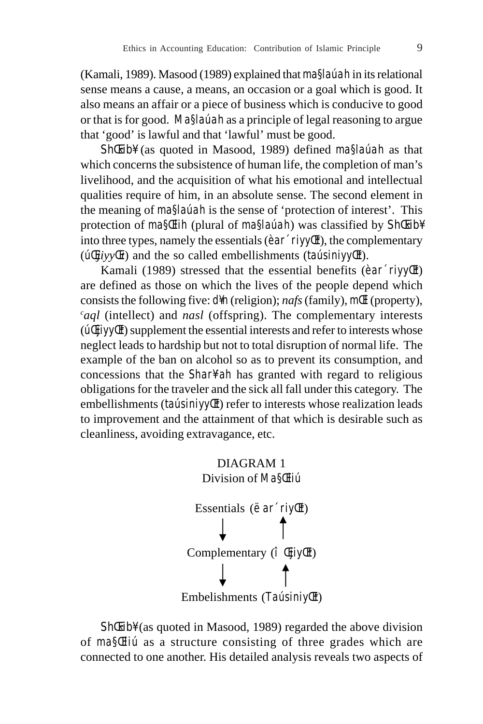(Kamali, 1989). Masood (1989) explained that *ma§laúah* in its relational sense means a cause, a means, an occasion or a goal which is good. It also means an affair or a piece of business which is conducive to good or that is for good. *Ma§laúah* as a principle of legal reasoning to argue that 'good' is lawful and that 'lawful' must be good.

ShŒ‹ib¥ (as quoted in Masood, 1989) defined *ma§laúah* as that which concerns the subsistence of human life, the completion of man's livelihood, and the acquisition of what his emotional and intellectual qualities require of him, in an absolute sense. The second element in the meaning of *ma§laúah* is the sense of 'protection of interest'. This protection of *ma§Œlih* (plural of *ma§laúah*) was classified by ShŒoib¥ into three types, namely the essentials (*èar´riyyŒt*), the complementary (*úŒjiyyŒt*) and the so called embellishments (*taúsiniyyŒt*).

Kamali (1989) stressed that the essential benefits (*èar´riyyŒt*) are defined as those on which the lives of the people depend which consists the following five: *d¥n* (religion); *nafs* (family), *mŒl* (property), *c aql* (intellect) and *nasl* (offspring). The complementary interests (*úŒjiyyŒt*) supplement the essential interests and refer to interests whose neglect leads to hardship but not to total disruption of normal life. The example of the ban on alcohol so as to prevent its consumption, and concessions that the *Shar¥ah* has granted with regard to religious obligations for the traveler and the sick all fall under this category. The embellishments (*taúsiniyyŒt*) refer to interests whose realization leads to improvement and the attainment of that which is desirable such as cleanliness, avoiding extravagance, etc.



ShŒ‹ib¥ (as quoted in Masood, 1989) regarded the above division of *ma§Œliú* as a structure consisting of three grades which are connected to one another. His detailed analysis reveals two aspects of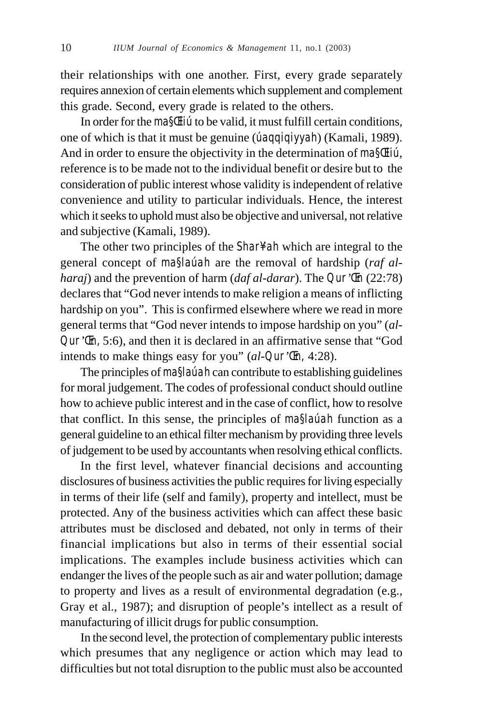their relationships with one another. First, every grade separately requires annexion of certain elements which supplement and complement this grade. Second, every grade is related to the others.

In order for the *ma§Œliú* to be valid, it must fulfill certain conditions, one of which is that it must be genuine (*úaqqiqiyyah*) (Kamali, 1989). And in order to ensure the objectivity in the determination of *ma§Œliú*, reference is to be made not to the individual benefit or desire but to the consideration of public interest whose validity is independent of relative convenience and utility to particular individuals. Hence, the interest which it seeks to uphold must also be objective and universal, not relative and subjective (Kamali, 1989).

The other two principles of the *Shar¥ah* which are integral to the general concept of *ma§laúah* are the removal of hardship (*raf alharaj*) and the prevention of harm (*daf al-darar*). The *Qur'Œn* (22:78) declares that "God never intends to make religion a means of inflicting hardship on you". This is confirmed elsewhere where we read in more general terms that "God never intends to impose hardship on you" (*al-Qur'Œn,* 5:6), and then it is declared in an affirmative sense that "God intends to make things easy for you" (*al-Qur'Œn,* 4:28).

The principles of *ma§laúah* can contribute to establishing guidelines for moral judgement. The codes of professional conduct should outline how to achieve public interest and in the case of conflict, how to resolve that conflict. In this sense, the principles of *ma§laúah* function as a general guideline to an ethical filter mechanism by providing three levels of judgement to be used by accountants when resolving ethical conflicts.

In the first level, whatever financial decisions and accounting disclosures of business activities the public requires for living especially in terms of their life (self and family), property and intellect, must be protected. Any of the business activities which can affect these basic attributes must be disclosed and debated, not only in terms of their financial implications but also in terms of their essential social implications. The examples include business activities which can endanger the lives of the people such as air and water pollution; damage to property and lives as a result of environmental degradation (e.g., Gray et al., 1987); and disruption of people's intellect as a result of manufacturing of illicit drugs for public consumption.

In the second level, the protection of complementary public interests which presumes that any negligence or action which may lead to difficulties but not total disruption to the public must also be accounted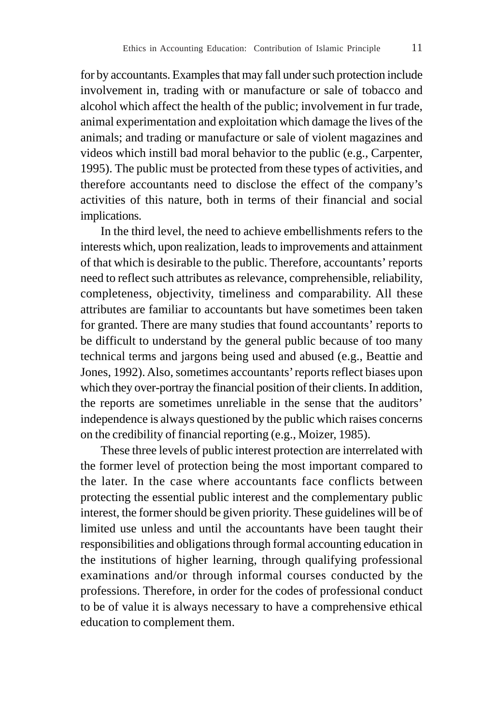for by accountants. Examples that may fall under such protection include involvement in, trading with or manufacture or sale of tobacco and alcohol which affect the health of the public; involvement in fur trade, animal experimentation and exploitation which damage the lives of the animals; and trading or manufacture or sale of violent magazines and videos which instill bad moral behavior to the public (e.g., Carpenter, 1995). The public must be protected from these types of activities, and therefore accountants need to disclose the effect of the company's activities of this nature, both in terms of their financial and social implications.

In the third level, the need to achieve embellishments refers to the interests which, upon realization, leads to improvements and attainment of that which is desirable to the public. Therefore, accountants' reports need to reflect such attributes as relevance, comprehensible, reliability, completeness, objectivity, timeliness and comparability. All these attributes are familiar to accountants but have sometimes been taken for granted. There are many studies that found accountants' reports to be difficult to understand by the general public because of too many technical terms and jargons being used and abused (e.g., Beattie and Jones, 1992). Also, sometimes accountants' reports reflect biases upon which they over-portray the financial position of their clients. In addition, the reports are sometimes unreliable in the sense that the auditors' independence is always questioned by the public which raises concerns on the credibility of financial reporting (e.g., Moizer, 1985).

These three levels of public interest protection are interrelated with the former level of protection being the most important compared to the later. In the case where accountants face conflicts between protecting the essential public interest and the complementary public interest, the former should be given priority. These guidelines will be of limited use unless and until the accountants have been taught their responsibilities and obligations through formal accounting education in the institutions of higher learning, through qualifying professional examinations and/or through informal courses conducted by the professions. Therefore, in order for the codes of professional conduct to be of value it is always necessary to have a comprehensive ethical education to complement them.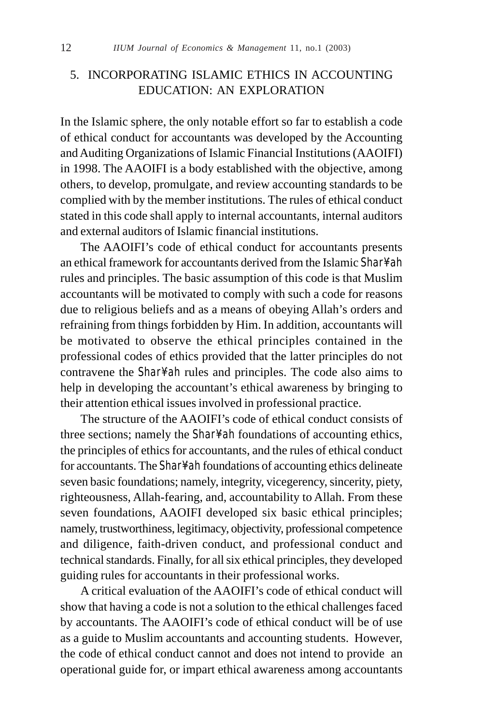# 5. INCORPORATING ISLAMIC ETHICS IN ACCOUNTING EDUCATION: AN EXPLORATION

In the Islamic sphere, the only notable effort so far to establish a code of ethical conduct for accountants was developed by the Accounting and Auditing Organizations of Islamic Financial Institutions (AAOIFI) in 1998. The AAOIFI is a body established with the objective, among others, to develop, promulgate, and review accounting standards to be complied with by the member institutions. The rules of ethical conduct stated in this code shall apply to internal accountants, internal auditors and external auditors of Islamic financial institutions.

The AAOIFI's code of ethical conduct for accountants presents an ethical framework for accountants derived from the Islamic Shar<sup>y</sup>ah rules and principles. The basic assumption of this code is that Muslim accountants will be motivated to comply with such a code for reasons due to religious beliefs and as a means of obeying Allah's orders and refraining from things forbidden by Him. In addition, accountants will be motivated to observe the ethical principles contained in the professional codes of ethics provided that the latter principles do not contravene the *Shar¥ah* rules and principles. The code also aims to help in developing the accountant's ethical awareness by bringing to their attention ethical issues involved in professional practice.

The structure of the AAOIFI's code of ethical conduct consists of three sections; namely the *Shar<sup>y</sup>* ah foundations of accounting ethics, the principles of ethics for accountants, and the rules of ethical conduct for accountants. The *Shar<sup>y</sup>* ah foundations of accounting ethics delineate seven basic foundations; namely, integrity, vicegerency, sincerity, piety, righteousness, Allah-fearing, and, accountability to Allah. From these seven foundations, AAOIFI developed six basic ethical principles; namely, trustworthiness, legitimacy, objectivity, professional competence and diligence, faith-driven conduct, and professional conduct and technical standards. Finally, for all six ethical principles, they developed guiding rules for accountants in their professional works.

A critical evaluation of the AAOIFI's code of ethical conduct will show that having a code is not a solution to the ethical challenges faced by accountants. The AAOIFI's code of ethical conduct will be of use as a guide to Muslim accountants and accounting students. However, the code of ethical conduct cannot and does not intend to provide an operational guide for, or impart ethical awareness among accountants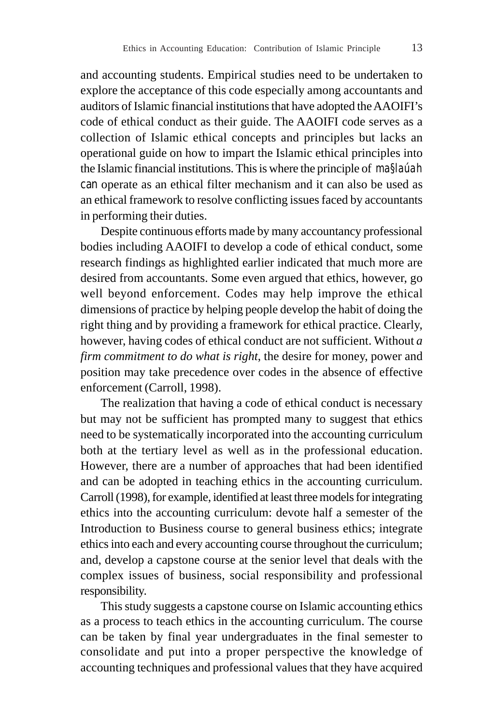and accounting students. Empirical studies need to be undertaken to explore the acceptance of this code especially among accountants and auditors of Islamic financial institutions that have adopted the AAOIFI's code of ethical conduct as their guide. The AAOIFI code serves as a collection of Islamic ethical concepts and principles but lacks an operational guide on how to impart the Islamic ethical principles into the Islamic financial institutions. This is where the principle of *ma§laúah* can operate as an ethical filter mechanism and it can also be used as an ethical framework to resolve conflicting issues faced by accountants in performing their duties.

Despite continuous efforts made by many accountancy professional bodies including AAOIFI to develop a code of ethical conduct, some research findings as highlighted earlier indicated that much more are desired from accountants. Some even argued that ethics, however, go well beyond enforcement. Codes may help improve the ethical dimensions of practice by helping people develop the habit of doing the right thing and by providing a framework for ethical practice. Clearly, however, having codes of ethical conduct are not sufficient. Without *a firm commitment to do what is right*, the desire for money, power and position may take precedence over codes in the absence of effective enforcement (Carroll, 1998).

The realization that having a code of ethical conduct is necessary but may not be sufficient has prompted many to suggest that ethics need to be systematically incorporated into the accounting curriculum both at the tertiary level as well as in the professional education. However, there are a number of approaches that had been identified and can be adopted in teaching ethics in the accounting curriculum. Carroll (1998), for example, identified at least three models for integrating ethics into the accounting curriculum: devote half a semester of the Introduction to Business course to general business ethics; integrate ethics into each and every accounting course throughout the curriculum; and, develop a capstone course at the senior level that deals with the complex issues of business, social responsibility and professional responsibility.

This study suggests a capstone course on Islamic accounting ethics as a process to teach ethics in the accounting curriculum. The course can be taken by final year undergraduates in the final semester to consolidate and put into a proper perspective the knowledge of accounting techniques and professional values that they have acquired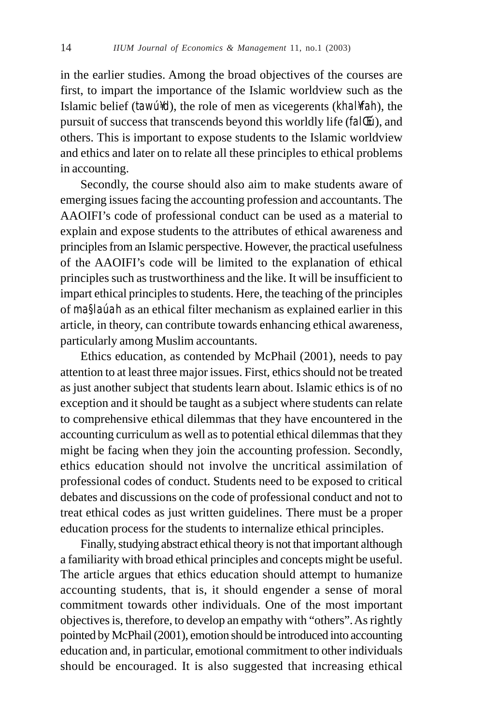in the earlier studies. Among the broad objectives of the courses are first, to impart the importance of the Islamic worldview such as the Islamic belief (*tawú¥d*), the role of men as vicegerents (*khal¥fah*), the pursuit of success that transcends beyond this worldly life (*falΜ*), and others. This is important to expose students to the Islamic worldview and ethics and later on to relate all these principles to ethical problems in accounting.

Secondly, the course should also aim to make students aware of emerging issues facing the accounting profession and accountants. The AAOIFI's code of professional conduct can be used as a material to explain and expose students to the attributes of ethical awareness and principles from an Islamic perspective. However, the practical usefulness of the AAOIFI's code will be limited to the explanation of ethical principles such as trustworthiness and the like. It will be insufficient to impart ethical principles to students. Here, the teaching of the principles of *ma§laúah* as an ethical filter mechanism as explained earlier in this article, in theory, can contribute towards enhancing ethical awareness, particularly among Muslim accountants.

Ethics education, as contended by McPhail (2001), needs to pay attention to at least three major issues. First, ethics should not be treated as just another subject that students learn about. Islamic ethics is of no exception and it should be taught as a subject where students can relate to comprehensive ethical dilemmas that they have encountered in the accounting curriculum as well as to potential ethical dilemmas that they might be facing when they join the accounting profession. Secondly, ethics education should not involve the uncritical assimilation of professional codes of conduct. Students need to be exposed to critical debates and discussions on the code of professional conduct and not to treat ethical codes as just written guidelines. There must be a proper education process for the students to internalize ethical principles.

Finally, studying abstract ethical theory is not that important although a familiarity with broad ethical principles and concepts might be useful. The article argues that ethics education should attempt to humanize accounting students, that is, it should engender a sense of moral commitment towards other individuals. One of the most important objectives is, therefore, to develop an empathy with "others". As rightly pointed by McPhail (2001), emotion should be introduced into accounting education and, in particular, emotional commitment to other individuals should be encouraged. It is also suggested that increasing ethical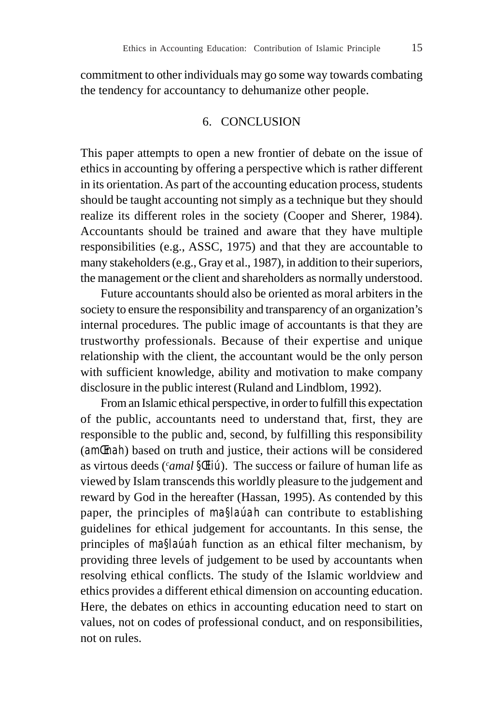commitment to other individuals may go some way towards combating the tendency for accountancy to dehumanize other people.

## 6. CONCLUSION

This paper attempts to open a new frontier of debate on the issue of ethics in accounting by offering a perspective which is rather different in its orientation. As part of the accounting education process, students should be taught accounting not simply as a technique but they should realize its different roles in the society (Cooper and Sherer, 1984). Accountants should be trained and aware that they have multiple responsibilities (e.g., ASSC, 1975) and that they are accountable to many stakeholders (e.g., Gray et al., 1987), in addition to their superiors, the management or the client and shareholders as normally understood.

Future accountants should also be oriented as moral arbiters in the society to ensure the responsibility and transparency of an organization's internal procedures. The public image of accountants is that they are trustworthy professionals. Because of their expertise and unique relationship with the client, the accountant would be the only person with sufficient knowledge, ability and motivation to make company disclosure in the public interest (Ruland and Lindblom, 1992).

From an Islamic ethical perspective, in order to fulfill this expectation of the public, accountants need to understand that, first, they are responsible to the public and, second, by fulfilling this responsibility (*amŒnah*) based on truth and justice, their actions will be considered as virtous deeds (*<sup>c</sup> amal §Œliú*). The success or failure of human life as viewed by Islam transcends this worldly pleasure to the judgement and reward by God in the hereafter (Hassan, 1995). As contended by this paper, the principles of *ma§laúah* can contribute to establishing guidelines for ethical judgement for accountants. In this sense, the principles of *ma§laúah* function as an ethical filter mechanism, by providing three levels of judgement to be used by accountants when resolving ethical conflicts. The study of the Islamic worldview and ethics provides a different ethical dimension on accounting education. Here, the debates on ethics in accounting education need to start on values, not on codes of professional conduct, and on responsibilities, not on rules.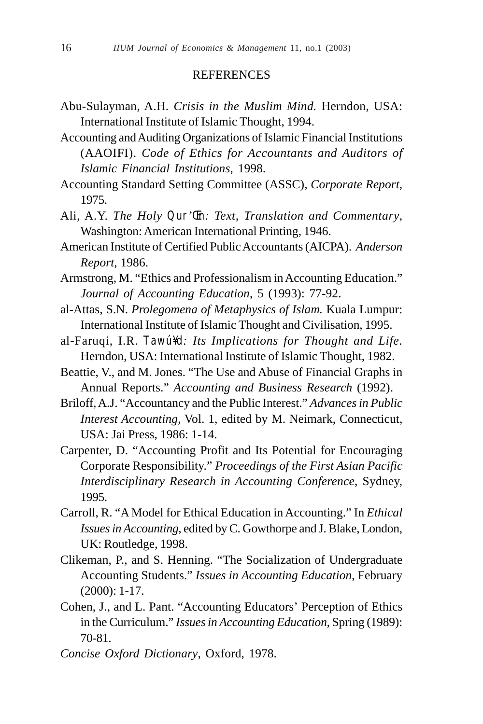#### **REFERENCES**

- Abu-Sulayman, A.H. *Crisis in the Muslim Mind.* Herndon, USA: International Institute of Islamic Thought, 1994.
- Accounting and Auditing Organizations of Islamic Financial Institutions (AAOIFI). *Code of Ethics for Accountants and Auditors of Islamic Financial Institutions*, 1998.
- Accounting Standard Setting Committee (ASSC), *Corporate Report*, 1975.
- Ali, A.Y. *The Holy Qur'Œn: Text, Translation and Commentary*, Washington: American International Printing, 1946.
- American Institute of Certified Public Accountants (AICPA). *Anderson Report*, 1986.
- Armstrong, M. "Ethics and Professionalism in Accounting Education." *Journal of Accounting Education*, 5 (1993): 77-92.
- al-Attas, S.N. *Prolegomena of Metaphysics of Islam.* Kuala Lumpur: International Institute of Islamic Thought and Civilisation, 1995.
- al-Faruqi, I.R. *Tawú¥d: Its Implications for Thought and Life.* Herndon, USA: International Institute of Islamic Thought, 1982.
- Beattie, V., and M. Jones. "The Use and Abuse of Financial Graphs in Annual Reports." *Accounting and Business Research* (1992).
- Briloff, A.J. "Accountancy and the Public Interest." *Advances in Public Interest Accounting*, Vol. 1, edited by M. Neimark, Connecticut, USA: Jai Press, 1986: 1-14.
- Carpenter, D. "Accounting Profit and Its Potential for Encouraging Corporate Responsibility." *Proceedings of the First Asian Pacific Interdisciplinary Research in Accounting Conference*, Sydney, 1995.
- Carroll, R. "A Model for Ethical Education in Accounting." In *Ethical Issues in Accounting*, edited by C. Gowthorpe and J. Blake, London, UK: Routledge, 1998.
- Clikeman, P., and S. Henning. "The Socialization of Undergraduate Accounting Students." *Issues in Accounting Education*, February (2000): 1-17.
- Cohen, J., and L. Pant. "Accounting Educators' Perception of Ethics in the Curriculum." *Issues in Accounting Education*, Spring (1989): 70-81.
- *Concise Oxford Dictionary*, Oxford, 1978.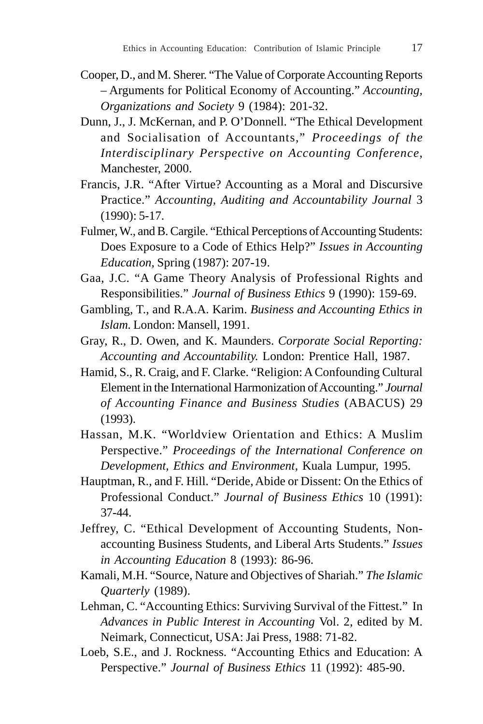- Cooper, D., and M. Sherer. "The Value of Corporate Accounting Reports – Arguments for Political Economy of Accounting." *Accounting, Organizations and Society* 9 (1984): 201-32.
- Dunn, J., J. McKernan, and P. O'Donnell. "The Ethical Development and Socialisation of Accountants," *Proceedings of the Interdisciplinary Perspective on Accounting Conference*, Manchester, 2000.
- Francis, J.R. "After Virtue? Accounting as a Moral and Discursive Practice." *Accounting, Auditing and Accountability Journal* 3 (1990): 5-17.
- Fulmer, W., and B. Cargile. "Ethical Perceptions of Accounting Students: Does Exposure to a Code of Ethics Help?" *Issues in Accounting Education*, Spring (1987): 207-19.
- Gaa, J.C. "A Game Theory Analysis of Professional Rights and Responsibilities." *Journal of Business Ethics* 9 (1990): 159-69.
- Gambling, T., and R.A.A. Karim. *Business and Accounting Ethics in Islam.* London: Mansell, 1991.
- Gray, R., D. Owen, and K. Maunders. *Corporate Social Reporting: Accounting and Accountability.* London: Prentice Hall, 1987.
- Hamid, S., R. Craig, and F. Clarke. "Religion: A Confounding Cultural Element in the International Harmonization of Accounting." *Journal of Accounting Finance and Business Studies* (ABACUS) 29 (1993).
- Hassan, M.K. "Worldview Orientation and Ethics: A Muslim Perspective." *Proceedings of the International Conference on Development, Ethics and Environment*, Kuala Lumpur, 1995.
- Hauptman, R., and F. Hill. "Deride, Abide or Dissent: On the Ethics of Professional Conduct." *Journal of Business Ethics* 10 (1991): 37-44.
- Jeffrey, C. "Ethical Development of Accounting Students, Nonaccounting Business Students, and Liberal Arts Students." *Issues in Accounting Education* 8 (1993): 86-96.
- Kamali, M.H. "Source, Nature and Objectives of Shariah." *The Islamic Quarterly* (1989).
- Lehman, C. "Accounting Ethics: Surviving Survival of the Fittest." In *Advances in Public Interest in Accounting* Vol. 2, edited by M. Neimark, Connecticut, USA: Jai Press, 1988: 71-82.
- Loeb, S.E., and J. Rockness. "Accounting Ethics and Education: A Perspective." *Journal of Business Ethics* 11 (1992): 485-90.